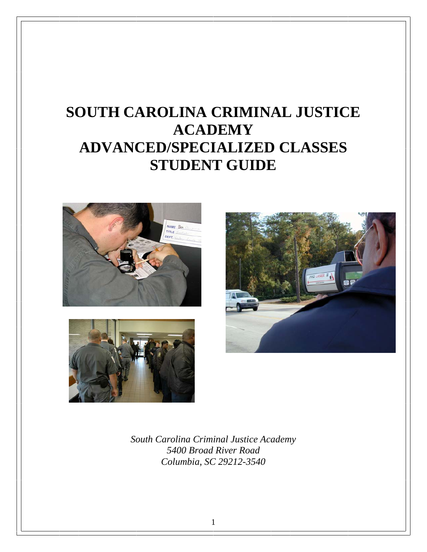# **SOUTH CAROLINA CRIMINAL JUSTICE ACADEMY ADVANCED/SPECIALIZED CLASSES STUDENT GUIDE**







*South Carolina Criminal Justice Academy 5400 Broad River Road Columbia, SC 29212-3540* 

1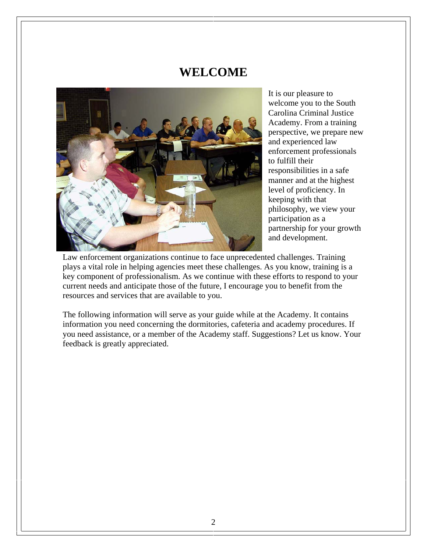#### **WELCOME**



It is our pleasure to welcome you to the South Carolina Criminal Justice Academy. From a training perspective, we prepare new and experienced law enforcement professionals to fulfill their responsibilities in a safe manner and at the highest level of proficiency. In keeping with that philosophy, we view your participation as a partnership for your growth and development.

Law enforcement organizations continue to face unprecedented challenges. Training plays a vital role in helping agencies meet these challenges. As you know, training is a key component of professionalism. As we continue with these efforts to respond to your current needs and anticipate those of the future, I encourage you to benefit from the resources and services that are available to you.

The following information will serve as your guide while at the Academy. It contains information you need concerning the dormitories, cafeteria and academy procedures. If you need assistance, or a member of the Academy staff. Suggestions? Let us know. Your feedback is greatly appreciated.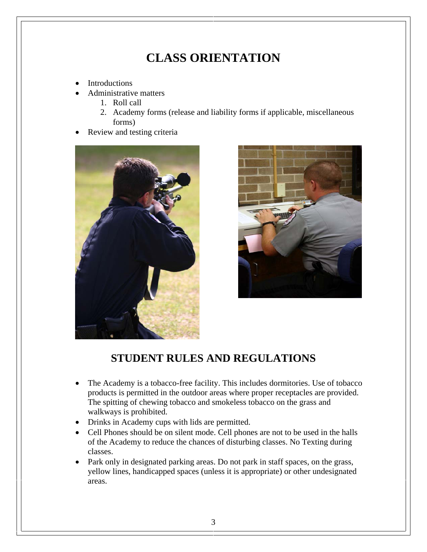### **CLASS ORIENTATION**

- **Introductions**
- Administrative matters
	- 1. Roll call
	- 2. Academy forms (release and liability forms if applicable, miscellaneous forms)
- Review and testing criteria





#### **STUDENT RULES AND REGULATIONS**

- The Academy is a tobacco-free facility. This includes dormitories. Use of tobacco products is permitted in the outdoor areas where proper receptacles are provided. The spitting of chewing tobacco and smokeless tobacco on the grass and walkways is prohibited.
- Drinks in Academy cups with lids are permitted.
- Cell Phones should be on silent mode. Cell phones are not to be used in the halls of the Academy to reduce the chances of disturbing classes. No Texting during classes.
- Park only in designated parking areas. Do not park in staff spaces, on the grass, yellow lines, handicapped spaces (unless it is appropriate) or other undesignated areas.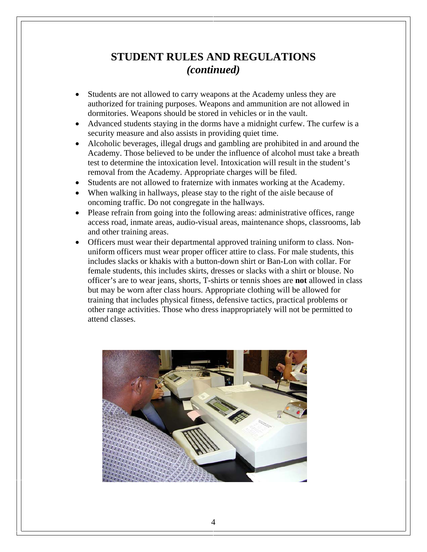#### **STUDENT RULES AND REGULATIONS**  *(continued)*

- Students are not allowed to carry weapons at the Academy unless they are authorized for training purposes. Weapons and ammunition are not allowed in dormitories. Weapons should be stored in vehicles or in the vault.
- Advanced students staying in the dorms have a midnight curfew. The curfew is a security measure and also assists in providing quiet time.
- Alcoholic beverages, illegal drugs and gambling are prohibited in and around the Academy. Those believed to be under the influence of alcohol must take a breath test to determine the intoxication level. Intoxication will result in the student's removal from the Academy. Appropriate charges will be filed.
- Students are not allowed to fraternize with inmates working at the Academy.
- When walking in hallways, please stay to the right of the aisle because of oncoming traffic. Do not congregate in the hallways.
- Please refrain from going into the following areas: administrative offices, range access road, inmate areas, audio-visual areas, maintenance shops, classrooms, lab and other training areas.
- Officers must wear their departmental approved training uniform to class. Nonuniform officers must wear proper officer attire to class. For male students, this includes slacks or khakis with a button-down shirt or Ban-Lon with collar. For female students, this includes skirts, dresses or slacks with a shirt or blouse. No officer's are to wear jeans, shorts, T-shirts or tennis shoes are **not** allowed in class but may be worn after class hours. Appropriate clothing will be allowed for training that includes physical fitness, defensive tactics, practical problems or other range activities. Those who dress inappropriately will not be permitted to attend classes.

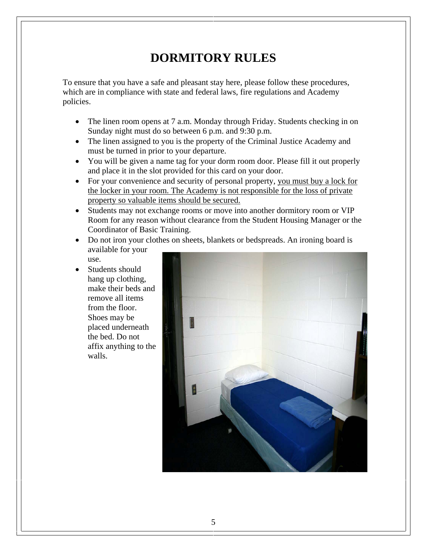### **DORMITORY RULES**

To ensure that you have a safe and pleasant stay here, please follow these procedures, which are in compliance with state and federal laws, fire regulations and Academy policies.

- The linen room opens at 7 a.m. Monday through Friday. Students checking in on Sunday night must do so between 6 p.m. and 9:30 p.m.
- The linen assigned to you is the property of the Criminal Justice Academy and must be turned in prior to your departure.
- You will be given a name tag for your dorm room door. Please fill it out properly and place it in the slot provided for this card on your door.
- For your convenience and security of personal property, you must buy a lock for the locker in your room. The Academy is not responsible for the loss of private property so valuable items should be secured.
- Students may not exchange rooms or move into another dormitory room or VIP Room for any reason without clearance from the Student Housing Manager or the Coordinator of Basic Training.
- Do not iron your clothes on sheets, blankets or bedspreads. An ironing board is available for your use.
- Students should hang up clothing, make their beds and remove all items from the floor. Shoes may be placed underneath the bed. Do not affix anything to the walls.

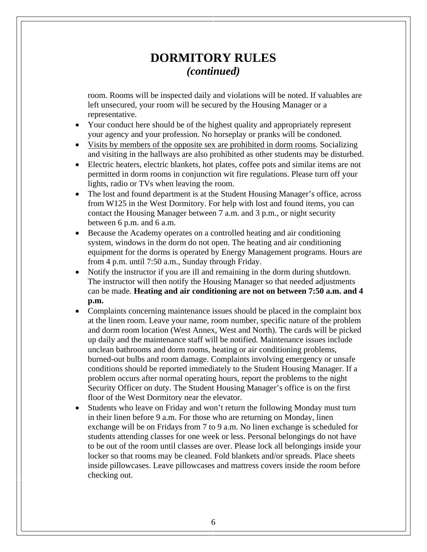#### **DORMITORY RULES**  *(continued)*

room. Rooms will be inspected daily and violations will be noted. If valuables are left unsecured, your room will be secured by the Housing Manager or a representative.

- Your conduct here should be of the highest quality and appropriately represent your agency and your profession. No horseplay or pranks will be condoned.
- Visits by members of the opposite sex are prohibited in dorm rooms. Socializing and visiting in the hallways are also prohibited as other students may be disturbed.
- Electric heaters, electric blankets, hot plates, coffee pots and similar items are not permitted in dorm rooms in conjunction wit fire regulations. Please turn off your lights, radio or TVs when leaving the room.
- The lost and found department is at the Student Housing Manager's office, across from W125 in the West Dormitory. For help with lost and found items, you can contact the Housing Manager between 7 a.m. and 3 p.m., or night security between 6 p.m. and 6 a.m.
- Because the Academy operates on a controlled heating and air conditioning system, windows in the dorm do not open. The heating and air conditioning equipment for the dorms is operated by Energy Management programs. Hours are from 4 p.m. until 7:50 a.m., Sunday through Friday.
- Notify the instructor if you are ill and remaining in the dorm during shutdown. The instructor will then notify the Housing Manager so that needed adjustments can be made. **Heating and air conditioning are not on between 7:50 a.m. and 4 p.m.**
- Complaints concerning maintenance issues should be placed in the complaint box at the linen room. Leave your name, room number, specific nature of the problem and dorm room location (West Annex, West and North). The cards will be picked up daily and the maintenance staff will be notified. Maintenance issues include unclean bathrooms and dorm rooms, heating or air conditioning problems, burned-out bulbs and room damage. Complaints involving emergency or unsafe conditions should be reported immediately to the Student Housing Manager. If a problem occurs after normal operating hours, report the problems to the night Security Officer on duty. The Student Housing Manager's office is on the first floor of the West Dormitory near the elevator.
- Students who leave on Friday and won't return the following Monday must turn in their linen before 9 a.m. For those who are returning on Monday, linen exchange will be on Fridays from 7 to 9 a.m. No linen exchange is scheduled for students attending classes for one week or less. Personal belongings do not have to be out of the room until classes are over. Please lock all belongings inside your locker so that rooms may be cleaned. Fold blankets and/or spreads. Place sheets inside pillowcases. Leave pillowcases and mattress covers inside the room before checking out.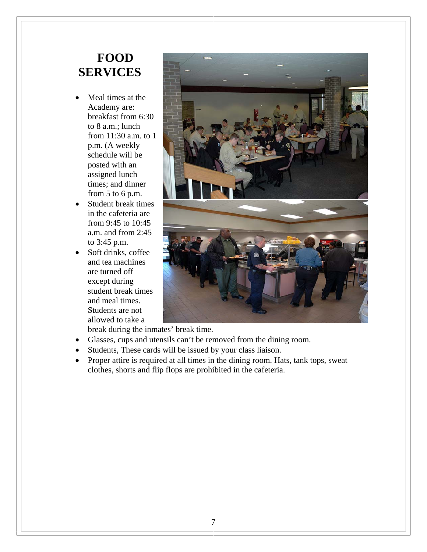### **FOOD SERVICES**

- Meal times at the Academy are: breakfast from 6:30 to 8 a.m.; lunch from 11:30 a.m. to 1 p.m. (A weekly schedule will be posted with an assigned lunch times; and dinner from 5 to 6 p.m.
- Student break times in the cafeteria are from 9:45 to 10:45 a.m. and from 2:45 to 3:45 p.m.
- Soft drinks, coffee and tea machines are turned off except during student break times and meal times. Students are not allowed to take a



break during the inmates' break time.

- Glasses, cups and utensils can't be removed from the dining room.
- Students, These cards will be issued by your class liaison.
- Proper attire is required at all times in the dining room. Hats, tank tops, sweat clothes, shorts and flip flops are prohibited in the cafeteria.